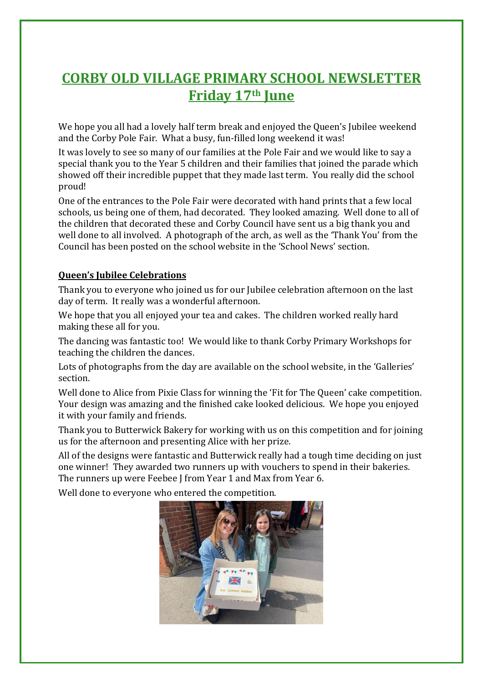# **CORBY OLD VILLAGE PRIMARY SCHOOL NEWSLETTER Friday 17th June**

We hope you all had a lovely half term break and enjoyed the Queen's Jubilee weekend and the Corby Pole Fair. What a busy, fun-filled long weekend it was!

It was lovely to see so many of our families at the Pole Fair and we would like to say a special thank you to the Year 5 children and their families that joined the parade which showed off their incredible puppet that they made last term. You really did the school proud!

One of the entrances to the Pole Fair were decorated with hand prints that a few local schools, us being one of them, had decorated. They looked amazing. Well done to all of the children that decorated these and Corby Council have sent us a big thank you and well done to all involved. A photograph of the arch, as well as the 'Thank You' from the Council has been posted on the school website in the 'School News' section.

#### **Queen's Jubilee Celebrations**

Thank you to everyone who joined us for our Jubilee celebration afternoon on the last day of term. It really was a wonderful afternoon.

We hope that you all enjoyed your tea and cakes. The children worked really hard making these all for you.

The dancing was fantastic too! We would like to thank Corby Primary Workshops for teaching the children the dances.

Lots of photographs from the day are available on the school website, in the 'Galleries' section.

Well done to Alice from Pixie Class for winning the 'Fit for The Queen' cake competition. Your design was amazing and the finished cake looked delicious. We hope you enjoyed it with your family and friends.

Thank you to Butterwick Bakery for working with us on this competition and for joining us for the afternoon and presenting Alice with her prize.

All of the designs were fantastic and Butterwick really had a tough time deciding on just one winner! They awarded two runners up with vouchers to spend in their bakeries. The runners up were Feebee J from Year 1 and Max from Year 6.

Well done to everyone who entered the competition.

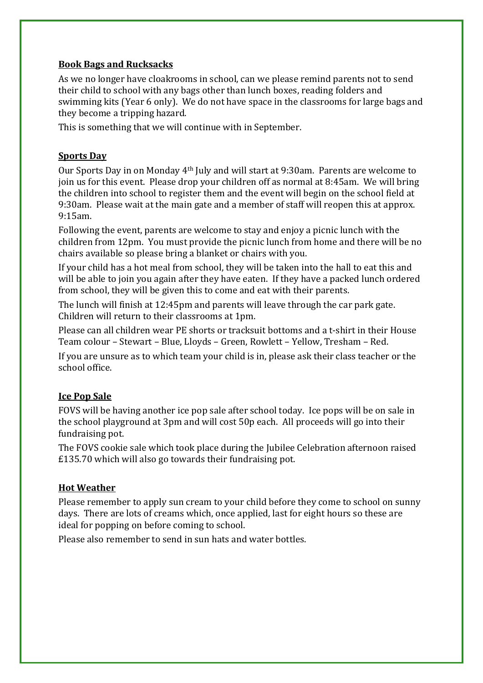#### **Book Bags and Rucksacks**

As we no longer have cloakrooms in school, can we please remind parents not to send their child to school with any bags other than lunch boxes, reading folders and swimming kits (Year 6 only). We do not have space in the classrooms for large bags and they become a tripping hazard.

This is something that we will continue with in September.

#### **Sports Day**

Our Sports Day in on Monday 4th July and will start at 9:30am. Parents are welcome to join us for this event. Please drop your children off as normal at 8:45am. We will bring the children into school to register them and the event will begin on the school field at 9:30am. Please wait at the main gate and a member of staff will reopen this at approx. 9:15am.

Following the event, parents are welcome to stay and enjoy a picnic lunch with the children from 12pm. You must provide the picnic lunch from home and there will be no chairs available so please bring a blanket or chairs with you.

If your child has a hot meal from school, they will be taken into the hall to eat this and will be able to join you again after they have eaten. If they have a packed lunch ordered from school, they will be given this to come and eat with their parents.

The lunch will finish at 12:45pm and parents will leave through the car park gate. Children will return to their classrooms at 1pm.

Please can all children wear PE shorts or tracksuit bottoms and a t-shirt in their House Team colour – Stewart – Blue, Lloyds – Green, Rowlett – Yellow, Tresham – Red.

If you are unsure as to which team your child is in, please ask their class teacher or the school office.

#### **Ice Pop Sale**

FOVS will be having another ice pop sale after school today. Ice pops will be on sale in the school playground at 3pm and will cost 50p each. All proceeds will go into their fundraising pot.

The FOVS cookie sale which took place during the Jubilee Celebration afternoon raised £135.70 which will also go towards their fundraising pot.

#### **Hot Weather**

Please remember to apply sun cream to your child before they come to school on sunny days. There are lots of creams which, once applied, last for eight hours so these are ideal for popping on before coming to school.

Please also remember to send in sun hats and water bottles.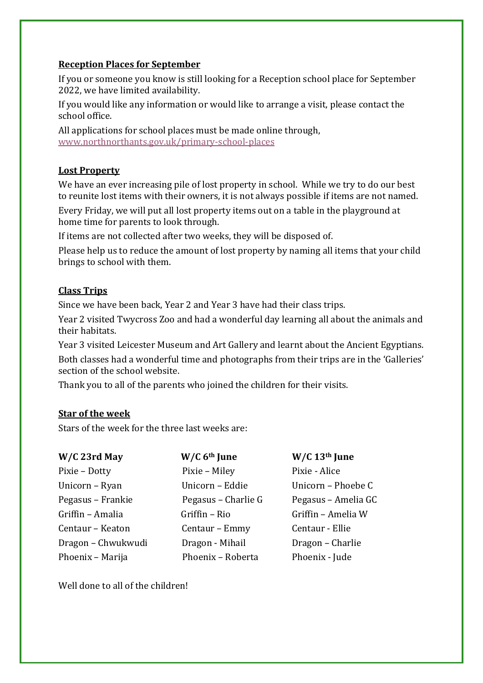#### **Reception Places for September**

If you or someone you know is still looking for a Reception school place for September 2022, we have limited availability.

If you would like any information or would like to arrange a visit, please contact the school office.

All applications for school places must be made online through, [www.northnorthants.gov.uk/primary-school-places](http://www.northnorthants.gov.uk/primary-school-places)

## **Lost Property**

We have an ever increasing pile of lost property in school. While we try to do our best to reunite lost items with their owners, it is not always possible if items are not named.

Every Friday, we will put all lost property items out on a table in the playground at home time for parents to look through.

If items are not collected after two weeks, they will be disposed of.

Please help us to reduce the amount of lost property by naming all items that your child brings to school with them.

# **Class Trips**

Since we have been back, Year 2 and Year 3 have had their class trips.

Year 2 visited Twycross Zoo and had a wonderful day learning all about the animals and their habitats.

Year 3 visited Leicester Museum and Art Gallery and learnt about the Ancient Egyptians. Both classes had a wonderful time and photographs from their trips are in the 'Galleries' section of the school website.

Thank you to all of the parents who joined the children for their visits.

## **Star of the week**

Stars of the week for the three last weeks are:

| W/C 23rd May       | W/C 6 <sup>th</sup> June | $W/C$ 13 <sup>th</sup> June |
|--------------------|--------------------------|-----------------------------|
| Pixie - Dotty      | Pixie - Miley            | Pixie - Alice               |
| Unicorn - Ryan     | Unicorn - Eddie          | Unicorn - Phoebe C          |
| Pegasus – Frankie  | Pegasus – Charlie G      | Pegasus - Amelia GC         |
| Griffin - Amalia   | Griffin - Rio            | Griffin - Amelia W          |
| Centaur - Keaton   | Centaur - Emmy           | Centaur - Ellie             |
| Dragon - Chwukwudi | Dragon - Mihail          | Dragon - Charlie            |
| Phoenix - Marija   | Phoenix - Roberta        | Phoenix - Jude              |

Well done to all of the children!